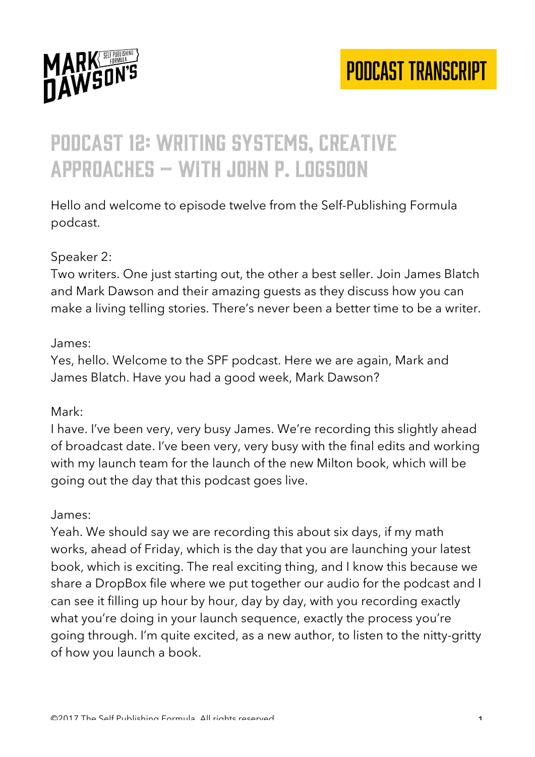

### Podcast 12: writing systems, creative approaches – with john P. logsdon

Hello and welcome to episode twelve from the Self-Publishing Formula podcast.

#### Speaker 2:

Two writers. One just starting out, the other a best seller. Join James Blatch and Mark Dawson and their amazing guests as they discuss how you can make a living telling stories. There's never been a better time to be a writer.

#### James:

Yes, hello. Welcome to the SPF podcast. Here we are again, Mark and James Blatch. Have you had a good week, Mark Dawson?

#### Mark:

I have. I've been very, very busy James. We're recording this slightly ahead of broadcast date. I've been very, very busy with the final edits and working with my launch team for the launch of the new Milton book, which will be going out the day that this podcast goes live.

#### James:

Yeah. We should say we are recording this about six days, if my math works, ahead of Friday, which is the day that you are launching your latest book, which is exciting. The real exciting thing, and I know this because we share a DropBox file where we put together our audio for the podcast and I can see it filling up hour by hour, day by day, with you recording exactly what you're doing in your launch sequence, exactly the process you're going through. I'm quite excited, as a new author, to listen to the nitty-gritty of how you launch a book.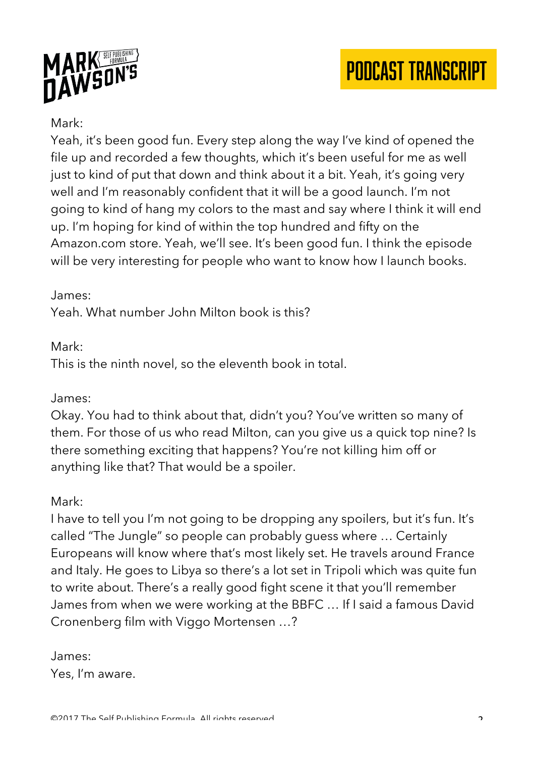



#### Mark:

Yeah, it's been good fun. Every step along the way I've kind of opened the file up and recorded a few thoughts, which it's been useful for me as well just to kind of put that down and think about it a bit. Yeah, it's going very well and I'm reasonably confident that it will be a good launch. I'm not going to kind of hang my colors to the mast and say where I think it will end up. I'm hoping for kind of within the top hundred and fifty on the Amazon.com store. Yeah, we'll see. It's been good fun. I think the episode will be very interesting for people who want to know how I launch books.

#### James:

Yeah. What number John Milton book is this?

#### Mark:

This is the ninth novel, so the eleventh book in total.

#### James:

Okay. You had to think about that, didn't you? You've written so many of them. For those of us who read Milton, can you give us a quick top nine? Is there something exciting that happens? You're not killing him off or anything like that? That would be a spoiler.

#### Mark:

I have to tell you I'm not going to be dropping any spoilers, but it's fun. It's called "The Jungle" so people can probably guess where … Certainly Europeans will know where that's most likely set. He travels around France and Italy. He goes to Libya so there's a lot set in Tripoli which was quite fun to write about. There's a really good fight scene it that you'll remember James from when we were working at the BBFC … If I said a famous David Cronenberg film with Viggo Mortensen …?

James: Yes, I'm aware.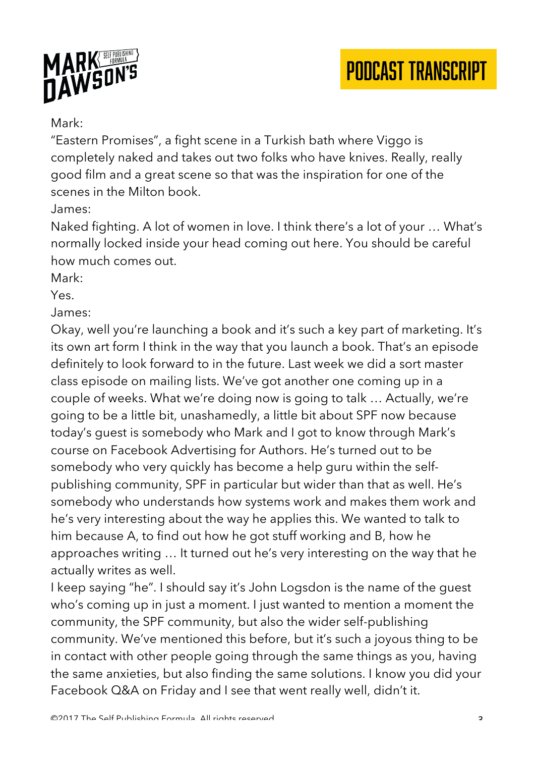

### Mark:

"Eastern Promises", a fight scene in a Turkish bath where Viggo is completely naked and takes out two folks who have knives. Really, really good film and a great scene so that was the inspiration for one of the scenes in the Milton book.

### James:

Naked fighting. A lot of women in love. I think there's a lot of your … What's normally locked inside your head coming out here. You should be careful how much comes out.

Mark:

Yes.

#### James:

Okay, well you're launching a book and it's such a key part of marketing. It's its own art form I think in the way that you launch a book. That's an episode definitely to look forward to in the future. Last week we did a sort master class episode on mailing lists. We've got another one coming up in a couple of weeks. What we're doing now is going to talk … Actually, we're going to be a little bit, unashamedly, a little bit about SPF now because today's guest is somebody who Mark and I got to know through Mark's course on Facebook Advertising for Authors. He's turned out to be somebody who very quickly has become a help guru within the selfpublishing community, SPF in particular but wider than that as well. He's somebody who understands how systems work and makes them work and he's very interesting about the way he applies this. We wanted to talk to him because A, to find out how he got stuff working and B, how he approaches writing … It turned out he's very interesting on the way that he actually writes as well.

I keep saying "he". I should say it's John Logsdon is the name of the guest who's coming up in just a moment. I just wanted to mention a moment the community, the SPF community, but also the wider self-publishing community. We've mentioned this before, but it's such a joyous thing to be in contact with other people going through the same things as you, having the same anxieties, but also finding the same solutions. I know you did your Facebook Q&A on Friday and I see that went really well, didn't it.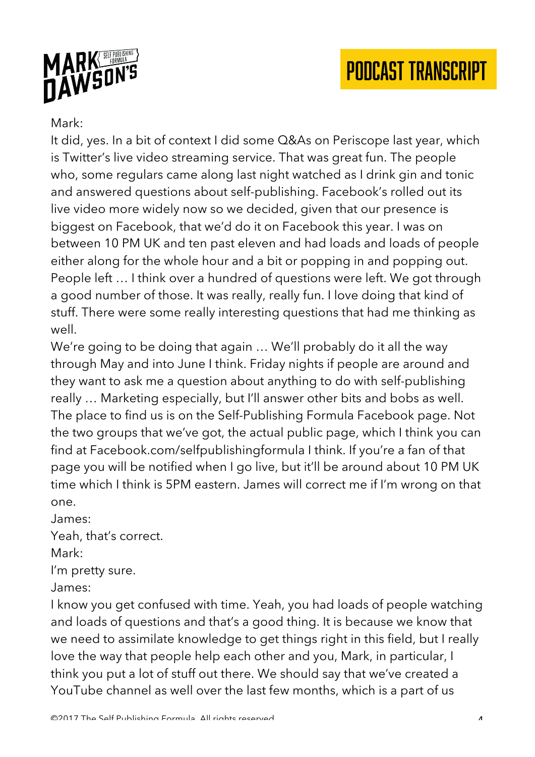



#### Mark:

It did, yes. In a bit of context I did some Q&As on Periscope last year, which is Twitter's live video streaming service. That was great fun. The people who, some regulars came along last night watched as I drink gin and tonic and answered questions about self-publishing. Facebook's rolled out its live video more widely now so we decided, given that our presence is biggest on Facebook, that we'd do it on Facebook this year. I was on between 10 PM UK and ten past eleven and had loads and loads of people either along for the whole hour and a bit or popping in and popping out. People left … I think over a hundred of questions were left. We got through a good number of those. It was really, really fun. I love doing that kind of stuff. There were some really interesting questions that had me thinking as well.

We're going to be doing that again … We'll probably do it all the way through May and into June I think. Friday nights if people are around and they want to ask me a question about anything to do with self-publishing really … Marketing especially, but I'll answer other bits and bobs as well. The place to find us is on the Self-Publishing Formula Facebook page. Not the two groups that we've got, the actual public page, which I think you can find at Facebook.com/selfpublishingformula I think. If you're a fan of that page you will be notified when I go live, but it'll be around about 10 PM UK time which I think is 5PM eastern. James will correct me if I'm wrong on that one.

James:

Yeah, that's correct.

Mark:

I'm pretty sure.

James:

I know you get confused with time. Yeah, you had loads of people watching and loads of questions and that's a good thing. It is because we know that we need to assimilate knowledge to get things right in this field, but I really love the way that people help each other and you, Mark, in particular, I think you put a lot of stuff out there. We should say that we've created a YouTube channel as well over the last few months, which is a part of us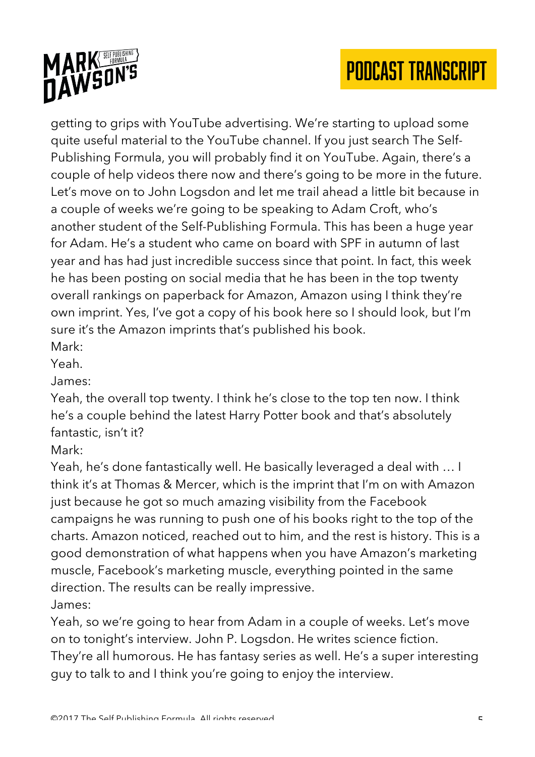

getting to grips with YouTube advertising. We're starting to upload some quite useful material to the YouTube channel. If you just search The Self-Publishing Formula, you will probably find it on YouTube. Again, there's a couple of help videos there now and there's going to be more in the future. Let's move on to John Logsdon and let me trail ahead a little bit because in a couple of weeks we're going to be speaking to Adam Croft, who's another student of the Self-Publishing Formula. This has been a huge year for Adam. He's a student who came on board with SPF in autumn of last year and has had just incredible success since that point. In fact, this week he has been posting on social media that he has been in the top twenty overall rankings on paperback for Amazon, Amazon using I think they're own imprint. Yes, I've got a copy of his book here so I should look, but I'm sure it's the Amazon imprints that's published his book.

Mark: Yeah.

James:

Yeah, the overall top twenty. I think he's close to the top ten now. I think he's a couple behind the latest Harry Potter book and that's absolutely fantastic, isn't it?

Mark:

Yeah, he's done fantastically well. He basically leveraged a deal with … I think it's at Thomas & Mercer, which is the imprint that I'm on with Amazon just because he got so much amazing visibility from the Facebook campaigns he was running to push one of his books right to the top of the charts. Amazon noticed, reached out to him, and the rest is history. This is a good demonstration of what happens when you have Amazon's marketing muscle, Facebook's marketing muscle, everything pointed in the same direction. The results can be really impressive. James:

Yeah, so we're going to hear from Adam in a couple of weeks. Let's move on to tonight's interview. John P. Logsdon. He writes science fiction. They're all humorous. He has fantasy series as well. He's a super interesting guy to talk to and I think you're going to enjoy the interview.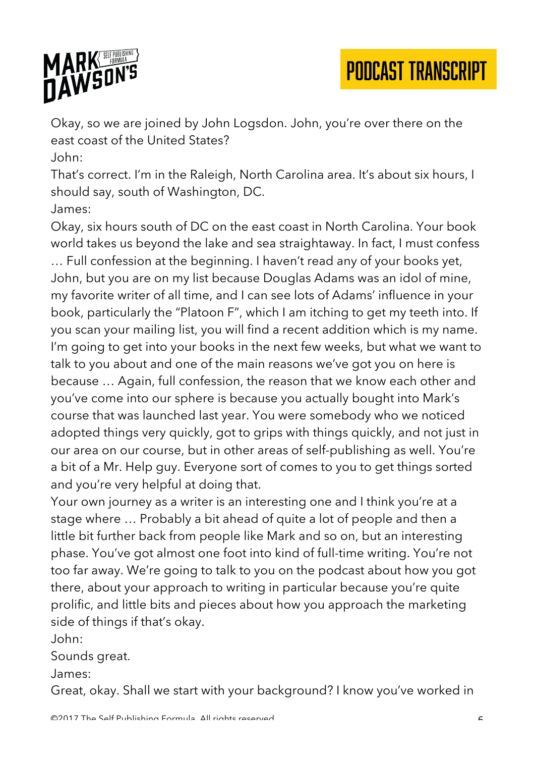

Okay, so we are joined by John Logsdon. John, you're over there on the east coast of the United States?

PODCAST TRANSCRIPT

John:

That's correct. I'm in the Raleigh, North Carolina area. It's about six hours, I should say, south of Washington, DC.

James:

Okay, six hours south of DC on the east coast in North Carolina. Your book world takes us beyond the lake and sea straightaway. In fact, I must confess … Full confession at the beginning. I haven't read any of your books yet, John, but you are on my list because Douglas Adams was an idol of mine, my favorite writer of all time, and I can see lots of Adams' influence in your book, particularly the "Platoon F", which I am itching to get my teeth into. If you scan your mailing list, you will find a recent addition which is my name. I'm going to get into your books in the next few weeks, but what we want to talk to you about and one of the main reasons we've got you on here is because … Again, full confession, the reason that we know each other and you've come into our sphere is because you actually bought into Mark's course that was launched last year. You were somebody who we noticed adopted things very quickly, got to grips with things quickly, and not just in our area on our course, but in other areas of self-publishing as well. You're a bit of a Mr. Help guy. Everyone sort of comes to you to get things sorted and you're very helpful at doing that.

Your own journey as a writer is an interesting one and I think you're at a stage where … Probably a bit ahead of quite a lot of people and then a little bit further back from people like Mark and so on, but an interesting phase. You've got almost one foot into kind of full-time writing. You're not too far away. We're going to talk to you on the podcast about how you got there, about your approach to writing in particular because you're quite prolific, and little bits and pieces about how you approach the marketing side of things if that's okay.

John:

Sounds great.

James:

Great, okay. Shall we start with your background? I know you've worked in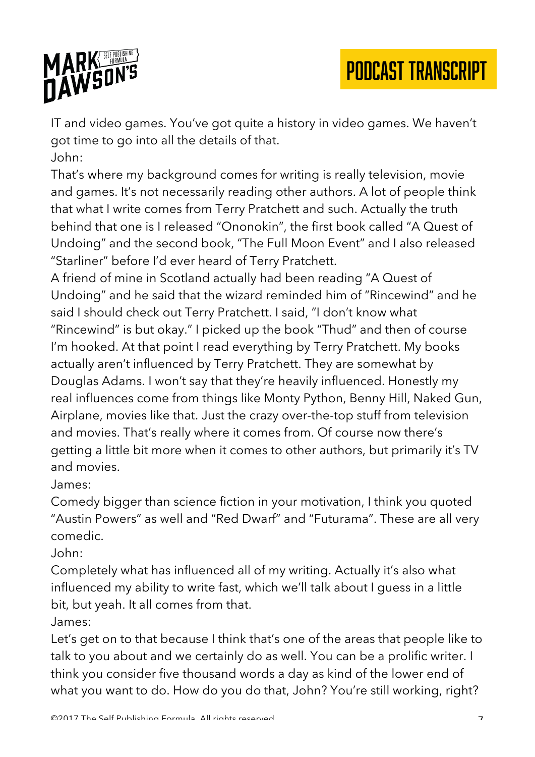

IT and video games. You've got quite a history in video games. We haven't got time to go into all the details of that. John:

That's where my background comes for writing is really television, movie and games. It's not necessarily reading other authors. A lot of people think that what I write comes from Terry Pratchett and such. Actually the truth behind that one is I released "Ononokin", the first book called "A Quest of Undoing" and the second book, "The Full Moon Event" and I also released "Starliner" before I'd ever heard of Terry Pratchett.

A friend of mine in Scotland actually had been reading "A Quest of Undoing" and he said that the wizard reminded him of "Rincewind" and he said I should check out Terry Pratchett. I said, "I don't know what "Rincewind" is but okay." I picked up the book "Thud" and then of course I'm hooked. At that point I read everything by Terry Pratchett. My books actually aren't influenced by Terry Pratchett. They are somewhat by Douglas Adams. I won't say that they're heavily influenced. Honestly my real influences come from things like Monty Python, Benny Hill, Naked Gun, Airplane, movies like that. Just the crazy over-the-top stuff from television and movies. That's really where it comes from. Of course now there's getting a little bit more when it comes to other authors, but primarily it's TV and movies.

James:

Comedy bigger than science fiction in your motivation, I think you quoted "Austin Powers" as well and "Red Dwarf" and "Futurama". These are all very comedic.

John:

Completely what has influenced all of my writing. Actually it's also what influenced my ability to write fast, which we'll talk about I guess in a little bit, but yeah. It all comes from that.

James:

Let's get on to that because I think that's one of the areas that people like to talk to you about and we certainly do as well. You can be a prolific writer. I think you consider five thousand words a day as kind of the lower end of what you want to do. How do you do that, John? You're still working, right?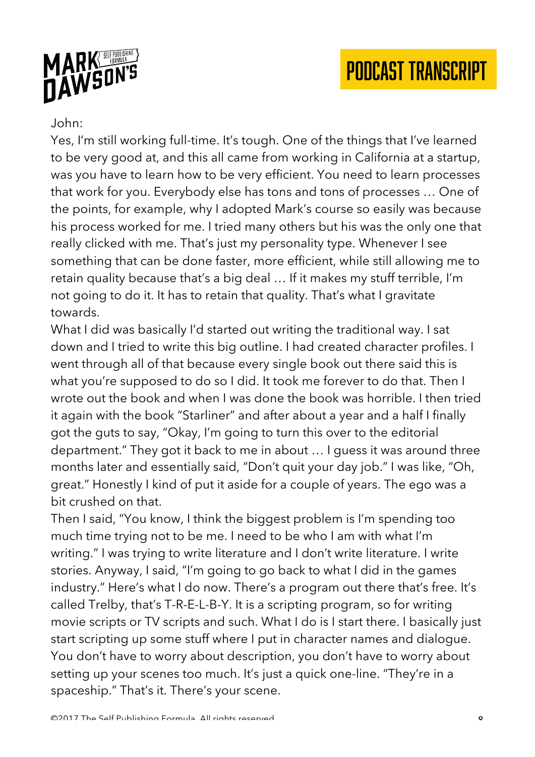



#### John:

Yes, I'm still working full-time. It's tough. One of the things that I've learned to be very good at, and this all came from working in California at a startup, was you have to learn how to be very efficient. You need to learn processes that work for you. Everybody else has tons and tons of processes … One of the points, for example, why I adopted Mark's course so easily was because his process worked for me. I tried many others but his was the only one that really clicked with me. That's just my personality type. Whenever I see something that can be done faster, more efficient, while still allowing me to retain quality because that's a big deal … If it makes my stuff terrible, I'm not going to do it. It has to retain that quality. That's what I gravitate towards.

What I did was basically I'd started out writing the traditional way. I sat down and I tried to write this big outline. I had created character profiles. I went through all of that because every single book out there said this is what you're supposed to do so I did. It took me forever to do that. Then I wrote out the book and when I was done the book was horrible. I then tried it again with the book "Starliner" and after about a year and a half I finally got the guts to say, "Okay, I'm going to turn this over to the editorial department." They got it back to me in about … I guess it was around three months later and essentially said, "Don't quit your day job." I was like, "Oh, great." Honestly I kind of put it aside for a couple of years. The ego was a bit crushed on that.

Then I said, "You know, I think the biggest problem is I'm spending too much time trying not to be me. I need to be who I am with what I'm writing." I was trying to write literature and I don't write literature. I write stories. Anyway, I said, "I'm going to go back to what I did in the games industry." Here's what I do now. There's a program out there that's free. It's called Trelby, that's T-R-E-L-B-Y. It is a scripting program, so for writing movie scripts or TV scripts and such. What I do is I start there. I basically just start scripting up some stuff where I put in character names and dialogue. You don't have to worry about description, you don't have to worry about setting up your scenes too much. It's just a quick one-line. "They're in a spaceship." That's it. There's your scene.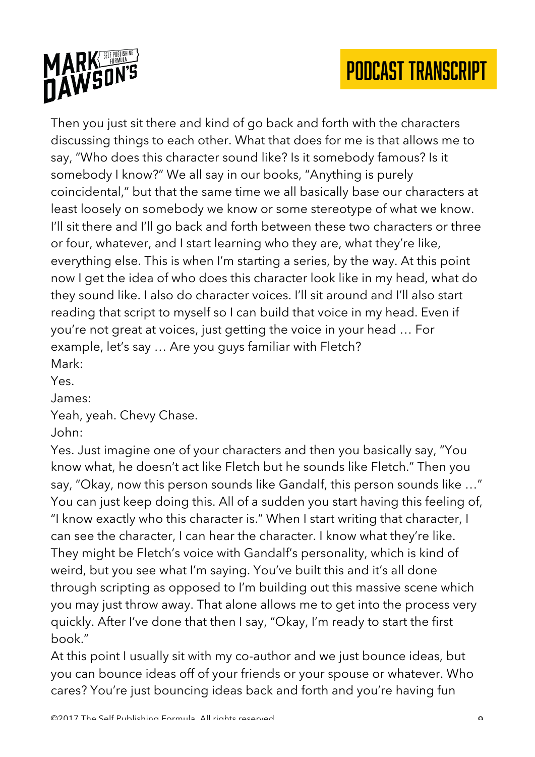



Then you just sit there and kind of go back and forth with the characters discussing things to each other. What that does for me is that allows me to say, "Who does this character sound like? Is it somebody famous? Is it somebody I know?" We all say in our books, "Anything is purely coincidental," but that the same time we all basically base our characters at least loosely on somebody we know or some stereotype of what we know. I'll sit there and I'll go back and forth between these two characters or three or four, whatever, and I start learning who they are, what they're like, everything else. This is when I'm starting a series, by the way. At this point now I get the idea of who does this character look like in my head, what do they sound like. I also do character voices. I'll sit around and I'll also start reading that script to myself so I can build that voice in my head. Even if you're not great at voices, just getting the voice in your head … For example, let's say … Are you guys familiar with Fletch? Mark:

Yes.

James:

Yeah, yeah. Chevy Chase.

John:

Yes. Just imagine one of your characters and then you basically say, "You know what, he doesn't act like Fletch but he sounds like Fletch." Then you say, "Okay, now this person sounds like Gandalf, this person sounds like …" You can just keep doing this. All of a sudden you start having this feeling of, "I know exactly who this character is." When I start writing that character, I can see the character, I can hear the character. I know what they're like. They might be Fletch's voice with Gandalf's personality, which is kind of weird, but you see what I'm saying. You've built this and it's all done through scripting as opposed to I'm building out this massive scene which you may just throw away. That alone allows me to get into the process very quickly. After I've done that then I say, "Okay, I'm ready to start the first book."

At this point I usually sit with my co-author and we just bounce ideas, but you can bounce ideas off of your friends or your spouse or whatever. Who cares? You're just bouncing ideas back and forth and you're having fun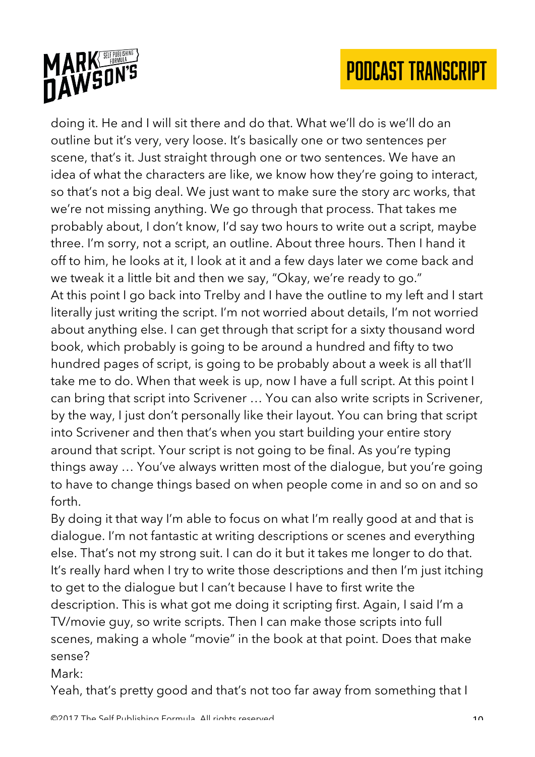

doing it. He and I will sit there and do that. What we'll do is we'll do an outline but it's very, very loose. It's basically one or two sentences per scene, that's it. Just straight through one or two sentences. We have an idea of what the characters are like, we know how they're going to interact, so that's not a big deal. We just want to make sure the story arc works, that we're not missing anything. We go through that process. That takes me probably about, I don't know, I'd say two hours to write out a script, maybe three. I'm sorry, not a script, an outline. About three hours. Then I hand it off to him, he looks at it, I look at it and a few days later we come back and we tweak it a little bit and then we say, "Okay, we're ready to go." At this point I go back into Trelby and I have the outline to my left and I start literally just writing the script. I'm not worried about details, I'm not worried about anything else. I can get through that script for a sixty thousand word book, which probably is going to be around a hundred and fifty to two hundred pages of script, is going to be probably about a week is all that'll take me to do. When that week is up, now I have a full script. At this point I can bring that script into Scrivener … You can also write scripts in Scrivener, by the way, I just don't personally like their layout. You can bring that script into Scrivener and then that's when you start building your entire story around that script. Your script is not going to be final. As you're typing things away … You've always written most of the dialogue, but you're going to have to change things based on when people come in and so on and so forth.

By doing it that way I'm able to focus on what I'm really good at and that is dialogue. I'm not fantastic at writing descriptions or scenes and everything else. That's not my strong suit. I can do it but it takes me longer to do that. It's really hard when I try to write those descriptions and then I'm just itching to get to the dialogue but I can't because I have to first write the description. This is what got me doing it scripting first. Again, I said I'm a TV/movie guy, so write scripts. Then I can make those scripts into full scenes, making a whole "movie" in the book at that point. Does that make sense?

Mark:

Yeah, that's pretty good and that's not too far away from something that I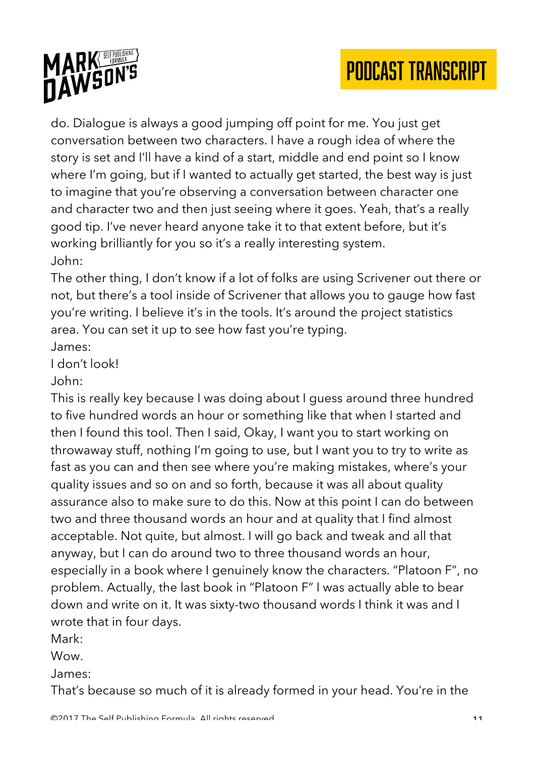

do. Dialogue is always a good jumping off point for me. You just get conversation between two characters. I have a rough idea of where the story is set and I'll have a kind of a start, middle and end point so I know where I'm going, but if I wanted to actually get started, the best way is just to imagine that you're observing a conversation between character one and character two and then just seeing where it goes. Yeah, that's a really good tip. I've never heard anyone take it to that extent before, but it's working brilliantly for you so it's a really interesting system. John:

The other thing, I don't know if a lot of folks are using Scrivener out there or not, but there's a tool inside of Scrivener that allows you to gauge how fast you're writing. I believe it's in the tools. It's around the project statistics area. You can set it up to see how fast you're typing.

James:

I don't look!

John:

This is really key because I was doing about I guess around three hundred to five hundred words an hour or something like that when I started and then I found this tool. Then I said, Okay, I want you to start working on throwaway stuff, nothing I'm going to use, but I want you to try to write as fast as you can and then see where you're making mistakes, where's your quality issues and so on and so forth, because it was all about quality assurance also to make sure to do this. Now at this point I can do between two and three thousand words an hour and at quality that I find almost acceptable. Not quite, but almost. I will go back and tweak and all that anyway, but I can do around two to three thousand words an hour, especially in a book where I genuinely know the characters. "Platoon F", no problem. Actually, the last book in "Platoon F" I was actually able to bear down and write on it. It was sixty-two thousand words I think it was and I wrote that in four days.

Mark:

Wow.

James:

That's because so much of it is already formed in your head. You're in the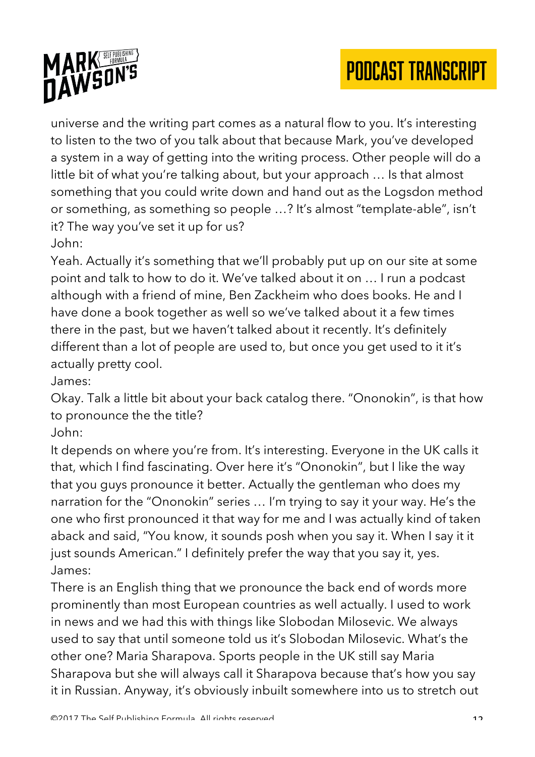

universe and the writing part comes as a natural flow to you. It's interesting to listen to the two of you talk about that because Mark, you've developed a system in a way of getting into the writing process. Other people will do a little bit of what you're talking about, but your approach … Is that almost something that you could write down and hand out as the Logsdon method or something, as something so people …? It's almost "template-able", isn't it? The way you've set it up for us? John:

Yeah. Actually it's something that we'll probably put up on our site at some point and talk to how to do it. We've talked about it on … I run a podcast although with a friend of mine, Ben Zackheim who does books. He and I have done a book together as well so we've talked about it a few times there in the past, but we haven't talked about it recently. It's definitely different than a lot of people are used to, but once you get used to it it's actually pretty cool.

James:

Okay. Talk a little bit about your back catalog there. "Ononokin", is that how to pronounce the the title?

John:

It depends on where you're from. It's interesting. Everyone in the UK calls it that, which I find fascinating. Over here it's "Ononokin", but I like the way that you guys pronounce it better. Actually the gentleman who does my narration for the "Ononokin" series … I'm trying to say it your way. He's the one who first pronounced it that way for me and I was actually kind of taken aback and said, "You know, it sounds posh when you say it. When I say it it just sounds American." I definitely prefer the way that you say it, yes. James:

There is an English thing that we pronounce the back end of words more prominently than most European countries as well actually. I used to work in news and we had this with things like Slobodan Milosevic. We always used to say that until someone told us it's Slobodan Milosevic. What's the other one? Maria Sharapova. Sports people in the UK still say Maria Sharapova but she will always call it Sharapova because that's how you say it in Russian. Anyway, it's obviously inbuilt somewhere into us to stretch out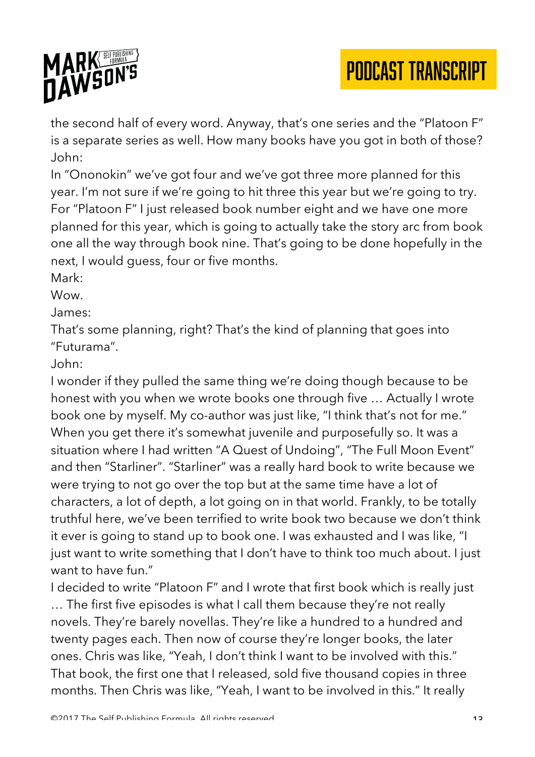

the second half of every word. Anyway, that's one series and the "Platoon F" is a separate series as well. How many books have you got in both of those? John:

In "Ononokin" we've got four and we've got three more planned for this year. I'm not sure if we're going to hit three this year but we're going to try. For "Platoon F" I just released book number eight and we have one more planned for this year, which is going to actually take the story arc from book one all the way through book nine. That's going to be done hopefully in the next, I would guess, four or five months.

Mark:

Wow.

James:

That's some planning, right? That's the kind of planning that goes into "Futurama".

#### John:

I wonder if they pulled the same thing we're doing though because to be honest with you when we wrote books one through five … Actually I wrote book one by myself. My co-author was just like, "I think that's not for me." When you get there it's somewhat juvenile and purposefully so. It was a situation where I had written "A Quest of Undoing", "The Full Moon Event" and then "Starliner". "Starliner" was a really hard book to write because we were trying to not go over the top but at the same time have a lot of characters, a lot of depth, a lot going on in that world. Frankly, to be totally truthful here, we've been terrified to write book two because we don't think it ever is going to stand up to book one. I was exhausted and I was like, "I just want to write something that I don't have to think too much about. I just want to have fun."

I decided to write "Platoon F" and I wrote that first book which is really just … The first five episodes is what I call them because they're not really novels. They're barely novellas. They're like a hundred to a hundred and twenty pages each. Then now of course they're longer books, the later ones. Chris was like, "Yeah, I don't think I want to be involved with this." That book, the first one that I released, sold five thousand copies in three months. Then Chris was like, "Yeah, I want to be involved in this." It really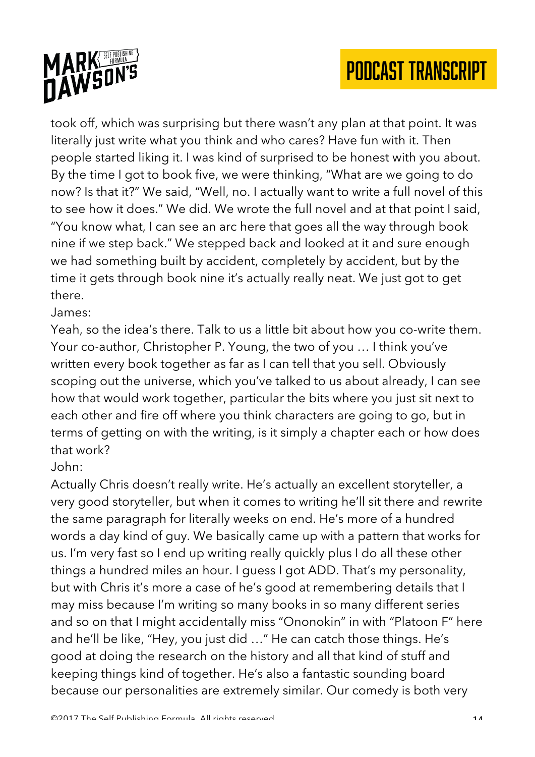

took off, which was surprising but there wasn't any plan at that point. It was literally just write what you think and who cares? Have fun with it. Then people started liking it. I was kind of surprised to be honest with you about. By the time I got to book five, we were thinking, "What are we going to do now? Is that it?" We said, "Well, no. I actually want to write a full novel of this to see how it does." We did. We wrote the full novel and at that point I said, "You know what, I can see an arc here that goes all the way through book nine if we step back." We stepped back and looked at it and sure enough we had something built by accident, completely by accident, but by the time it gets through book nine it's actually really neat. We just got to get there.

#### James:

Yeah, so the idea's there. Talk to us a little bit about how you co-write them. Your co-author, Christopher P. Young, the two of you … I think you've written every book together as far as I can tell that you sell. Obviously scoping out the universe, which you've talked to us about already, I can see how that would work together, particular the bits where you just sit next to each other and fire off where you think characters are going to go, but in terms of getting on with the writing, is it simply a chapter each or how does that work?

#### John:

Actually Chris doesn't really write. He's actually an excellent storyteller, a very good storyteller, but when it comes to writing he'll sit there and rewrite the same paragraph for literally weeks on end. He's more of a hundred words a day kind of guy. We basically came up with a pattern that works for us. I'm very fast so I end up writing really quickly plus I do all these other things a hundred miles an hour. I guess I got ADD. That's my personality, but with Chris it's more a case of he's good at remembering details that I may miss because I'm writing so many books in so many different series and so on that I might accidentally miss "Ononokin" in with "Platoon F" here and he'll be like, "Hey, you just did …" He can catch those things. He's good at doing the research on the history and all that kind of stuff and keeping things kind of together. He's also a fantastic sounding board because our personalities are extremely similar. Our comedy is both very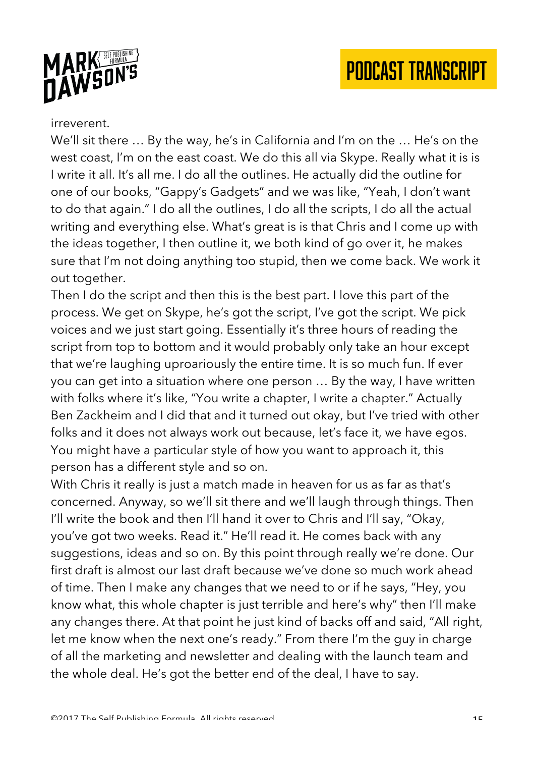



#### irreverent.

We'll sit there … By the way, he's in California and I'm on the … He's on the west coast, I'm on the east coast. We do this all via Skype. Really what it is is I write it all. It's all me. I do all the outlines. He actually did the outline for one of our books, "Gappy's Gadgets" and we was like, "Yeah, I don't want to do that again." I do all the outlines, I do all the scripts, I do all the actual writing and everything else. What's great is is that Chris and I come up with the ideas together, I then outline it, we both kind of go over it, he makes sure that I'm not doing anything too stupid, then we come back. We work it out together.

Then I do the script and then this is the best part. I love this part of the process. We get on Skype, he's got the script, I've got the script. We pick voices and we just start going. Essentially it's three hours of reading the script from top to bottom and it would probably only take an hour except that we're laughing uproariously the entire time. It is so much fun. If ever you can get into a situation where one person … By the way, I have written with folks where it's like, "You write a chapter, I write a chapter." Actually Ben Zackheim and I did that and it turned out okay, but I've tried with other folks and it does not always work out because, let's face it, we have egos. You might have a particular style of how you want to approach it, this person has a different style and so on.

With Chris it really is just a match made in heaven for us as far as that's concerned. Anyway, so we'll sit there and we'll laugh through things. Then I'll write the book and then I'll hand it over to Chris and I'll say, "Okay, you've got two weeks. Read it." He'll read it. He comes back with any suggestions, ideas and so on. By this point through really we're done. Our first draft is almost our last draft because we've done so much work ahead of time. Then I make any changes that we need to or if he says, "Hey, you know what, this whole chapter is just terrible and here's why" then I'll make any changes there. At that point he just kind of backs off and said, "All right, let me know when the next one's ready." From there I'm the guy in charge of all the marketing and newsletter and dealing with the launch team and the whole deal. He's got the better end of the deal, I have to say.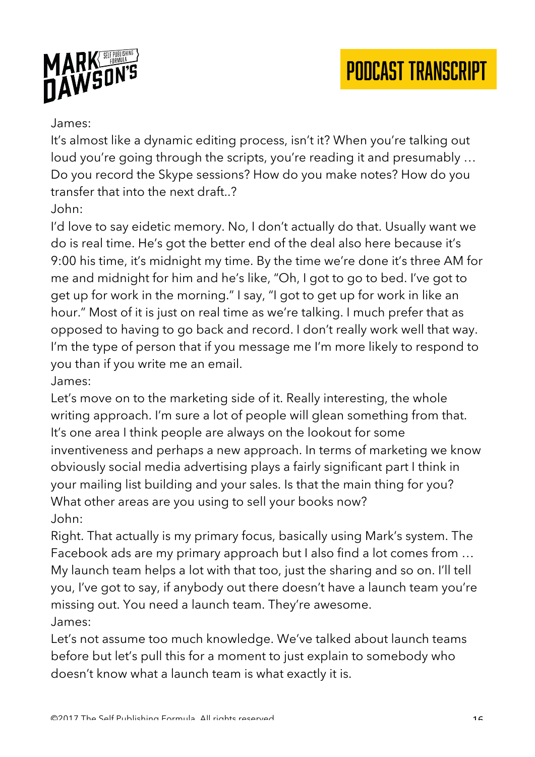



#### James:

It's almost like a dynamic editing process, isn't it? When you're talking out loud you're going through the scripts, you're reading it and presumably … Do you record the Skype sessions? How do you make notes? How do you transfer that into the next draft..?

John:

I'd love to say eidetic memory. No, I don't actually do that. Usually want we do is real time. He's got the better end of the deal also here because it's 9:00 his time, it's midnight my time. By the time we're done it's three AM for me and midnight for him and he's like, "Oh, I got to go to bed. I've got to get up for work in the morning." I say, "I got to get up for work in like an hour." Most of it is just on real time as we're talking. I much prefer that as opposed to having to go back and record. I don't really work well that way. I'm the type of person that if you message me I'm more likely to respond to you than if you write me an email.

James:

Let's move on to the marketing side of it. Really interesting, the whole writing approach. I'm sure a lot of people will glean something from that. It's one area I think people are always on the lookout for some inventiveness and perhaps a new approach. In terms of marketing we know obviously social media advertising plays a fairly significant part I think in your mailing list building and your sales. Is that the main thing for you? What other areas are you using to sell your books now? John:

Right. That actually is my primary focus, basically using Mark's system. The Facebook ads are my primary approach but I also find a lot comes from … My launch team helps a lot with that too, just the sharing and so on. I'll tell you, I've got to say, if anybody out there doesn't have a launch team you're missing out. You need a launch team. They're awesome. James:

Let's not assume too much knowledge. We've talked about launch teams before but let's pull this for a moment to just explain to somebody who doesn't know what a launch team is what exactly it is.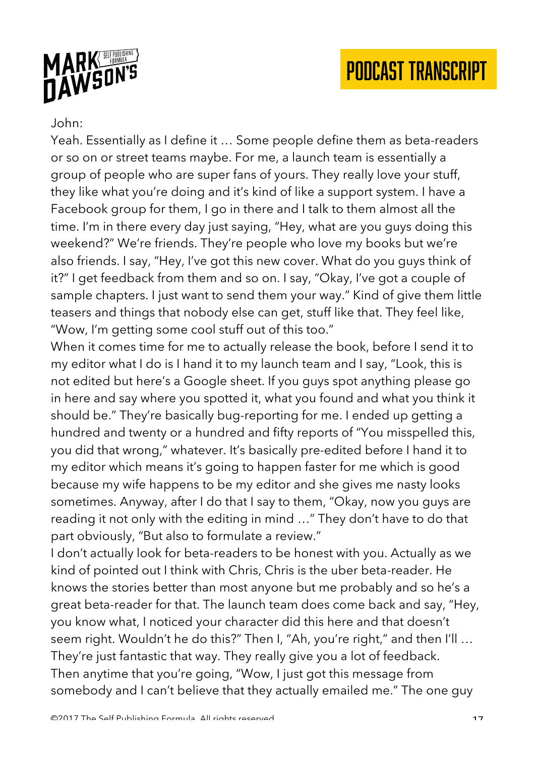



#### John:

Yeah. Essentially as I define it … Some people define them as beta-readers or so on or street teams maybe. For me, a launch team is essentially a group of people who are super fans of yours. They really love your stuff, they like what you're doing and it's kind of like a support system. I have a Facebook group for them, I go in there and I talk to them almost all the time. I'm in there every day just saying, "Hey, what are you guys doing this weekend?" We're friends. They're people who love my books but we're also friends. I say, "Hey, I've got this new cover. What do you guys think of it?" I get feedback from them and so on. I say, "Okay, I've got a couple of sample chapters. I just want to send them your way." Kind of give them little teasers and things that nobody else can get, stuff like that. They feel like, "Wow, I'm getting some cool stuff out of this too."

When it comes time for me to actually release the book, before I send it to my editor what I do is I hand it to my launch team and I say, "Look, this is not edited but here's a Google sheet. If you guys spot anything please go in here and say where you spotted it, what you found and what you think it should be." They're basically bug-reporting for me. I ended up getting a hundred and twenty or a hundred and fifty reports of "You misspelled this, you did that wrong," whatever. It's basically pre-edited before I hand it to my editor which means it's going to happen faster for me which is good because my wife happens to be my editor and she gives me nasty looks sometimes. Anyway, after I do that I say to them, "Okay, now you guys are reading it not only with the editing in mind …" They don't have to do that part obviously, "But also to formulate a review."

I don't actually look for beta-readers to be honest with you. Actually as we kind of pointed out I think with Chris, Chris is the uber beta-reader. He knows the stories better than most anyone but me probably and so he's a great beta-reader for that. The launch team does come back and say, "Hey, you know what, I noticed your character did this here and that doesn't seem right. Wouldn't he do this?" Then I, "Ah, you're right," and then I'll … They're just fantastic that way. They really give you a lot of feedback. Then anytime that you're going, "Wow, I just got this message from somebody and I can't believe that they actually emailed me." The one guy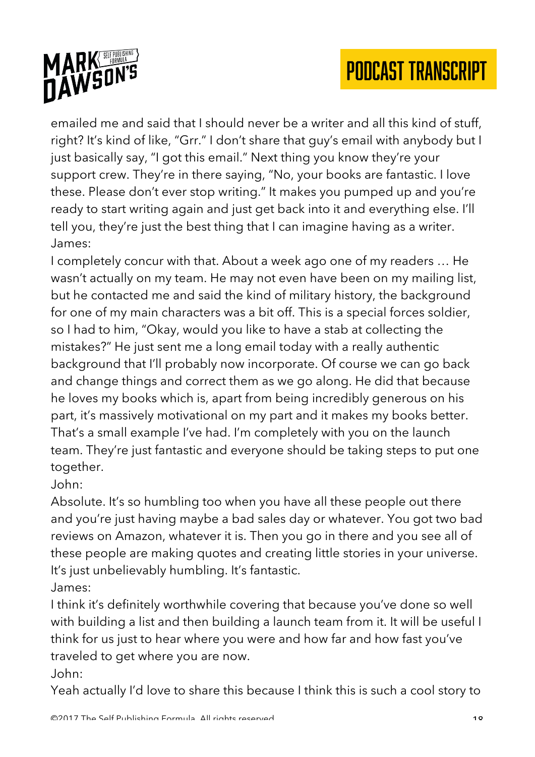

emailed me and said that I should never be a writer and all this kind of stuff, right? It's kind of like, "Grr." I don't share that guy's email with anybody but I just basically say, "I got this email." Next thing you know they're your support crew. They're in there saying, "No, your books are fantastic. I love these. Please don't ever stop writing." It makes you pumped up and you're ready to start writing again and just get back into it and everything else. I'll tell you, they're just the best thing that I can imagine having as a writer. James:

I completely concur with that. About a week ago one of my readers … He wasn't actually on my team. He may not even have been on my mailing list, but he contacted me and said the kind of military history, the background for one of my main characters was a bit off. This is a special forces soldier, so I had to him, "Okay, would you like to have a stab at collecting the mistakes?" He just sent me a long email today with a really authentic background that I'll probably now incorporate. Of course we can go back and change things and correct them as we go along. He did that because he loves my books which is, apart from being incredibly generous on his part, it's massively motivational on my part and it makes my books better. That's a small example I've had. I'm completely with you on the launch team. They're just fantastic and everyone should be taking steps to put one together.

John:

Absolute. It's so humbling too when you have all these people out there and you're just having maybe a bad sales day or whatever. You got two bad reviews on Amazon, whatever it is. Then you go in there and you see all of these people are making quotes and creating little stories in your universe. It's just unbelievably humbling. It's fantastic.

James:

I think it's definitely worthwhile covering that because you've done so well with building a list and then building a launch team from it. It will be useful I think for us just to hear where you were and how far and how fast you've traveled to get where you are now.

John:

Yeah actually I'd love to share this because I think this is such a cool story to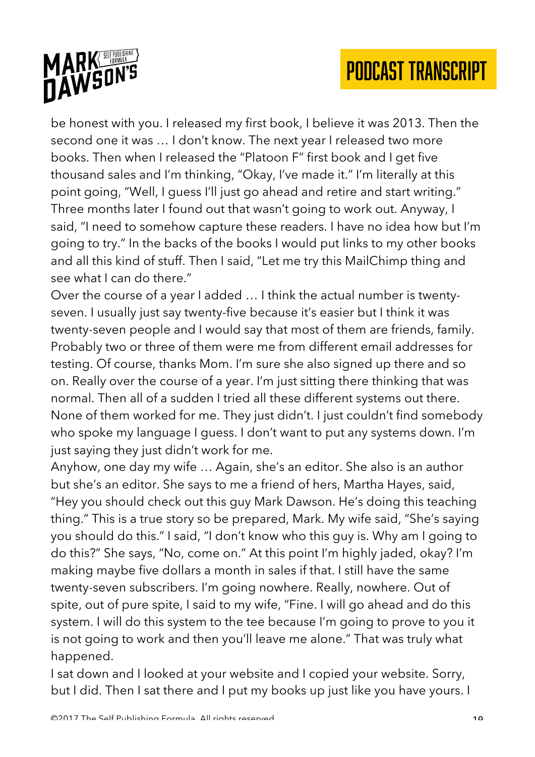

be honest with you. I released my first book, I believe it was 2013. Then the second one it was … I don't know. The next year I released two more books. Then when I released the "Platoon F" first book and I get five thousand sales and I'm thinking, "Okay, I've made it." I'm literally at this point going, "Well, I guess I'll just go ahead and retire and start writing." Three months later I found out that wasn't going to work out. Anyway, I said, "I need to somehow capture these readers. I have no idea how but I'm going to try." In the backs of the books I would put links to my other books and all this kind of stuff. Then I said, "Let me try this MailChimp thing and see what I can do there."

Over the course of a year I added … I think the actual number is twentyseven. I usually just say twenty-five because it's easier but I think it was twenty-seven people and I would say that most of them are friends, family. Probably two or three of them were me from different email addresses for testing. Of course, thanks Mom. I'm sure she also signed up there and so on. Really over the course of a year. I'm just sitting there thinking that was normal. Then all of a sudden I tried all these different systems out there. None of them worked for me. They just didn't. I just couldn't find somebody who spoke my language I guess. I don't want to put any systems down. I'm just saying they just didn't work for me.

Anyhow, one day my wife … Again, she's an editor. She also is an author but she's an editor. She says to me a friend of hers, Martha Hayes, said, "Hey you should check out this guy Mark Dawson. He's doing this teaching thing." This is a true story so be prepared, Mark. My wife said, "She's saying you should do this." I said, "I don't know who this guy is. Why am I going to do this?" She says, "No, come on." At this point I'm highly jaded, okay? I'm making maybe five dollars a month in sales if that. I still have the same twenty-seven subscribers. I'm going nowhere. Really, nowhere. Out of spite, out of pure spite, I said to my wife, "Fine. I will go ahead and do this system. I will do this system to the tee because I'm going to prove to you it is not going to work and then you'll leave me alone." That was truly what happened.

I sat down and I looked at your website and I copied your website. Sorry, but I did. Then I sat there and I put my books up just like you have yours. I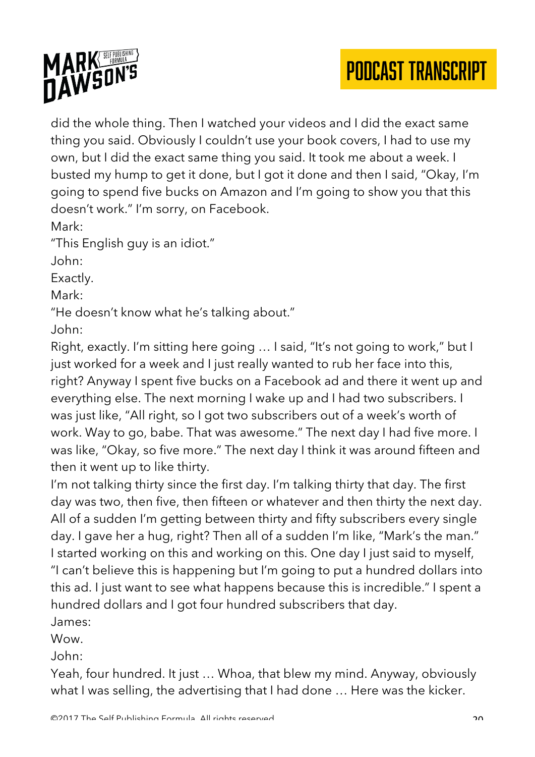



did the whole thing. Then I watched your videos and I did the exact same thing you said. Obviously I couldn't use your book covers, I had to use my own, but I did the exact same thing you said. It took me about a week. I busted my hump to get it done, but I got it done and then I said, "Okay, I'm going to spend five bucks on Amazon and I'm going to show you that this doesn't work." I'm sorry, on Facebook.

Mark:

"This English guy is an idiot."

John:

Exactly.

Mark:

"He doesn't know what he's talking about."

John:

Right, exactly. I'm sitting here going … I said, "It's not going to work," but I just worked for a week and I just really wanted to rub her face into this, right? Anyway I spent five bucks on a Facebook ad and there it went up and everything else. The next morning I wake up and I had two subscribers. I was just like, "All right, so I got two subscribers out of a week's worth of work. Way to go, babe. That was awesome." The next day I had five more. I was like, "Okay, so five more." The next day I think it was around fifteen and then it went up to like thirty.

I'm not talking thirty since the first day. I'm talking thirty that day. The first day was two, then five, then fifteen or whatever and then thirty the next day. All of a sudden I'm getting between thirty and fifty subscribers every single day. I gave her a hug, right? Then all of a sudden I'm like, "Mark's the man." I started working on this and working on this. One day I just said to myself, "I can't believe this is happening but I'm going to put a hundred dollars into this ad. I just want to see what happens because this is incredible." I spent a hundred dollars and I got four hundred subscribers that day. James:

Wow.

John:

Yeah, four hundred. It just … Whoa, that blew my mind. Anyway, obviously what I was selling, the advertising that I had done … Here was the kicker.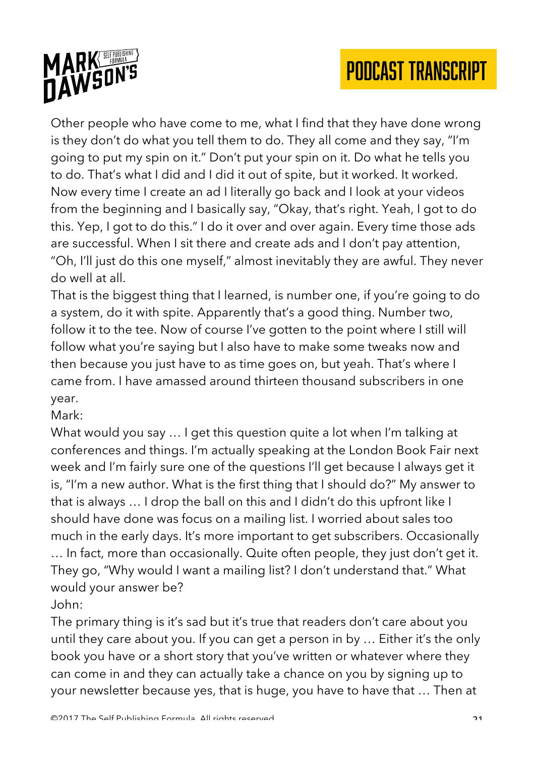

Other people who have come to me, what I find that they have done wrong is they don't do what you tell them to do. They all come and they say, "I'm going to put my spin on it." Don't put your spin on it. Do what he tells you to do. That's what I did and I did it out of spite, but it worked. It worked. Now every time I create an ad I literally go back and I look at your videos from the beginning and I basically say, "Okay, that's right. Yeah, I got to do this. Yep, I got to do this." I do it over and over again. Every time those ads are successful. When I sit there and create ads and I don't pay attention, "Oh, I'll just do this one myself," almost inevitably they are awful. They never do well at all.

That is the biggest thing that I learned, is number one, if you're going to do a system, do it with spite. Apparently that's a good thing. Number two, follow it to the tee. Now of course I've gotten to the point where I still will follow what you're saying but I also have to make some tweaks now and then because you just have to as time goes on, but yeah. That's where I came from. I have amassed around thirteen thousand subscribers in one year.

Mark:

What would you say … I get this question quite a lot when I'm talking at conferences and things. I'm actually speaking at the London Book Fair next week and I'm fairly sure one of the questions I'll get because I always get it is, "I'm a new author. What is the first thing that I should do?" My answer to that is always … I drop the ball on this and I didn't do this upfront like I should have done was focus on a mailing list. I worried about sales too much in the early days. It's more important to get subscribers. Occasionally … In fact, more than occasionally. Quite often people, they just don't get it. They go, "Why would I want a mailing list? I don't understand that." What would your answer be?

John:

The primary thing is it's sad but it's true that readers don't care about you until they care about you. If you can get a person in by … Either it's the only book you have or a short story that you've written or whatever where they can come in and they can actually take a chance on you by signing up to your newsletter because yes, that is huge, you have to have that … Then at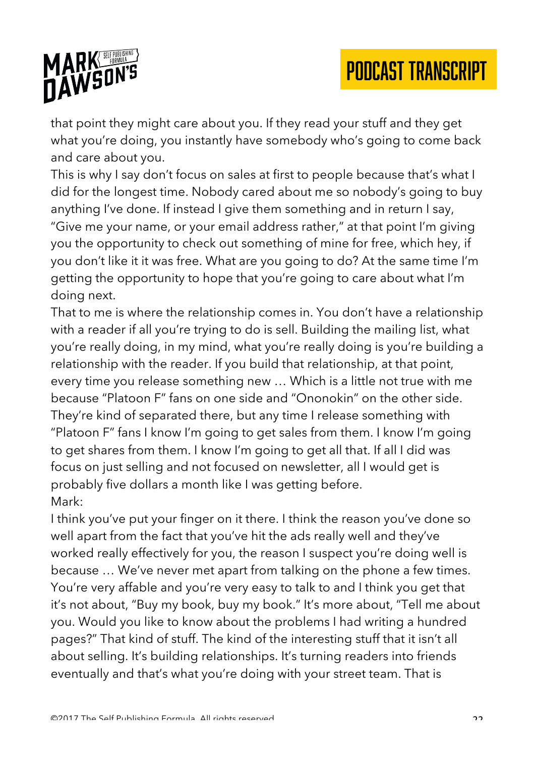



that point they might care about you. If they read your stuff and they get what you're doing, you instantly have somebody who's going to come back and care about you.

This is why I say don't focus on sales at first to people because that's what I did for the longest time. Nobody cared about me so nobody's going to buy anything I've done. If instead I give them something and in return I say, "Give me your name, or your email address rather," at that point I'm giving you the opportunity to check out something of mine for free, which hey, if you don't like it it was free. What are you going to do? At the same time I'm getting the opportunity to hope that you're going to care about what I'm doing next.

That to me is where the relationship comes in. You don't have a relationship with a reader if all you're trying to do is sell. Building the mailing list, what you're really doing, in my mind, what you're really doing is you're building a relationship with the reader. If you build that relationship, at that point, every time you release something new … Which is a little not true with me because "Platoon F" fans on one side and "Ononokin" on the other side. They're kind of separated there, but any time I release something with "Platoon F" fans I know I'm going to get sales from them. I know I'm going to get shares from them. I know I'm going to get all that. If all I did was focus on just selling and not focused on newsletter, all I would get is probably five dollars a month like I was getting before. Mark:

I think you've put your finger on it there. I think the reason you've done so well apart from the fact that you've hit the ads really well and they've worked really effectively for you, the reason I suspect you're doing well is because … We've never met apart from talking on the phone a few times. You're very affable and you're very easy to talk to and I think you get that it's not about, "Buy my book, buy my book." It's more about, "Tell me about you. Would you like to know about the problems I had writing a hundred pages?" That kind of stuff. The kind of the interesting stuff that it isn't all about selling. It's building relationships. It's turning readers into friends eventually and that's what you're doing with your street team. That is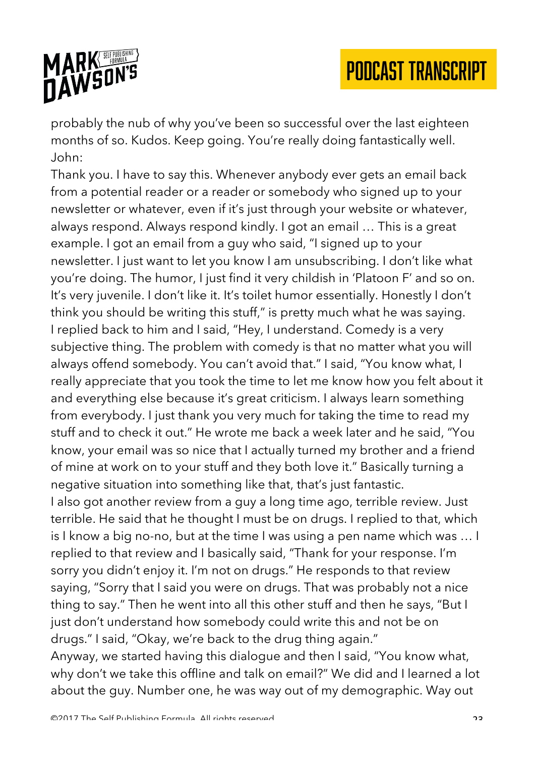

probably the nub of why you've been so successful over the last eighteen months of so. Kudos. Keep going. You're really doing fantastically well. John:

Thank you. I have to say this. Whenever anybody ever gets an email back from a potential reader or a reader or somebody who signed up to your newsletter or whatever, even if it's just through your website or whatever, always respond. Always respond kindly. I got an email … This is a great example. I got an email from a guy who said, "I signed up to your newsletter. I just want to let you know I am unsubscribing. I don't like what you're doing. The humor, I just find it very childish in 'Platoon F' and so on. It's very juvenile. I don't like it. It's toilet humor essentially. Honestly I don't think you should be writing this stuff," is pretty much what he was saying. I replied back to him and I said, "Hey, I understand. Comedy is a very subjective thing. The problem with comedy is that no matter what you will always offend somebody. You can't avoid that." I said, "You know what, I really appreciate that you took the time to let me know how you felt about it and everything else because it's great criticism. I always learn something from everybody. I just thank you very much for taking the time to read my stuff and to check it out." He wrote me back a week later and he said, "You know, your email was so nice that I actually turned my brother and a friend of mine at work on to your stuff and they both love it." Basically turning a negative situation into something like that, that's just fantastic. I also got another review from a guy a long time ago, terrible review. Just terrible. He said that he thought I must be on drugs. I replied to that, which is I know a big no-no, but at the time I was using a pen name which was … I replied to that review and I basically said, "Thank for your response. I'm sorry you didn't enjoy it. I'm not on drugs." He responds to that review saying, "Sorry that I said you were on drugs. That was probably not a nice thing to say." Then he went into all this other stuff and then he says, "But I just don't understand how somebody could write this and not be on drugs." I said, "Okay, we're back to the drug thing again." Anyway, we started having this dialogue and then I said, "You know what, why don't we take this offline and talk on email?" We did and I learned a lot about the guy. Number one, he was way out of my demographic. Way out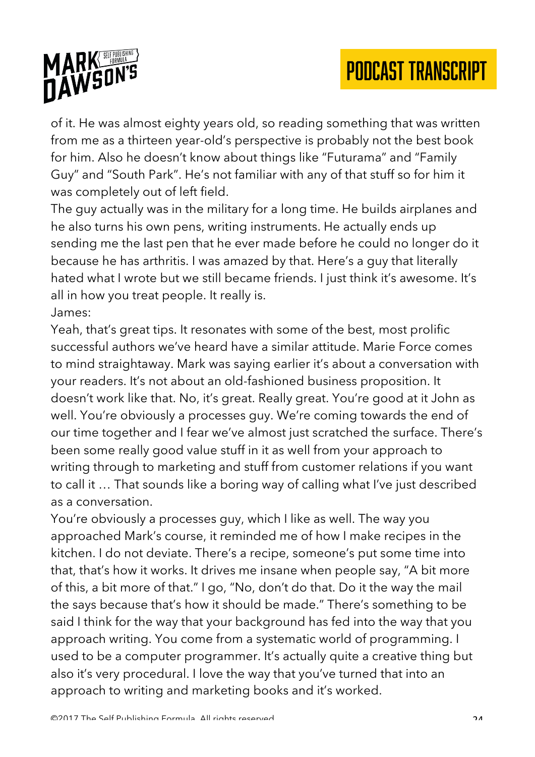

of it. He was almost eighty years old, so reading something that was written from me as a thirteen year-old's perspective is probably not the best book for him. Also he doesn't know about things like "Futurama" and "Family Guy" and "South Park". He's not familiar with any of that stuff so for him it was completely out of left field.

The guy actually was in the military for a long time. He builds airplanes and he also turns his own pens, writing instruments. He actually ends up sending me the last pen that he ever made before he could no longer do it because he has arthritis. I was amazed by that. Here's a guy that literally hated what I wrote but we still became friends. I just think it's awesome. It's all in how you treat people. It really is.

#### James:

Yeah, that's great tips. It resonates with some of the best, most prolific successful authors we've heard have a similar attitude. Marie Force comes to mind straightaway. Mark was saying earlier it's about a conversation with your readers. It's not about an old-fashioned business proposition. It doesn't work like that. No, it's great. Really great. You're good at it John as well. You're obviously a processes guy. We're coming towards the end of our time together and I fear we've almost just scratched the surface. There's been some really good value stuff in it as well from your approach to writing through to marketing and stuff from customer relations if you want to call it … That sounds like a boring way of calling what I've just described as a conversation.

You're obviously a processes guy, which I like as well. The way you approached Mark's course, it reminded me of how I make recipes in the kitchen. I do not deviate. There's a recipe, someone's put some time into that, that's how it works. It drives me insane when people say, "A bit more of this, a bit more of that." I go, "No, don't do that. Do it the way the mail the says because that's how it should be made." There's something to be said I think for the way that your background has fed into the way that you approach writing. You come from a systematic world of programming. I used to be a computer programmer. It's actually quite a creative thing but also it's very procedural. I love the way that you've turned that into an approach to writing and marketing books and it's worked.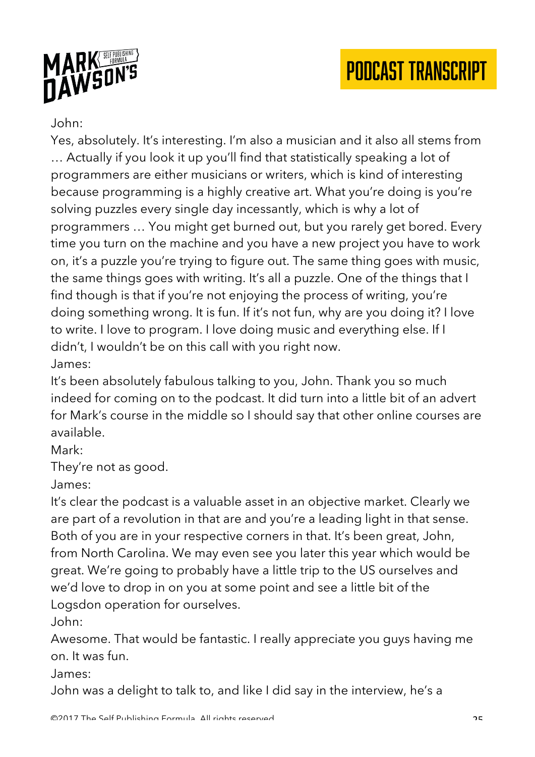



### John:

Yes, absolutely. It's interesting. I'm also a musician and it also all stems from … Actually if you look it up you'll find that statistically speaking a lot of programmers are either musicians or writers, which is kind of interesting because programming is a highly creative art. What you're doing is you're solving puzzles every single day incessantly, which is why a lot of programmers … You might get burned out, but you rarely get bored. Every time you turn on the machine and you have a new project you have to work on, it's a puzzle you're trying to figure out. The same thing goes with music, the same things goes with writing. It's all a puzzle. One of the things that I find though is that if you're not enjoying the process of writing, you're doing something wrong. It is fun. If it's not fun, why are you doing it? I love to write. I love to program. I love doing music and everything else. If I didn't, I wouldn't be on this call with you right now. James:

It's been absolutely fabulous talking to you, John. Thank you so much indeed for coming on to the podcast. It did turn into a little bit of an advert for Mark's course in the middle so I should say that other online courses are available.

Mark:

They're not as good.

James:

It's clear the podcast is a valuable asset in an objective market. Clearly we are part of a revolution in that are and you're a leading light in that sense. Both of you are in your respective corners in that. It's been great, John, from North Carolina. We may even see you later this year which would be great. We're going to probably have a little trip to the US ourselves and we'd love to drop in on you at some point and see a little bit of the Logsdon operation for ourselves.

John:

Awesome. That would be fantastic. I really appreciate you guys having me on. It was fun.

James:

John was a delight to talk to, and like I did say in the interview, he's a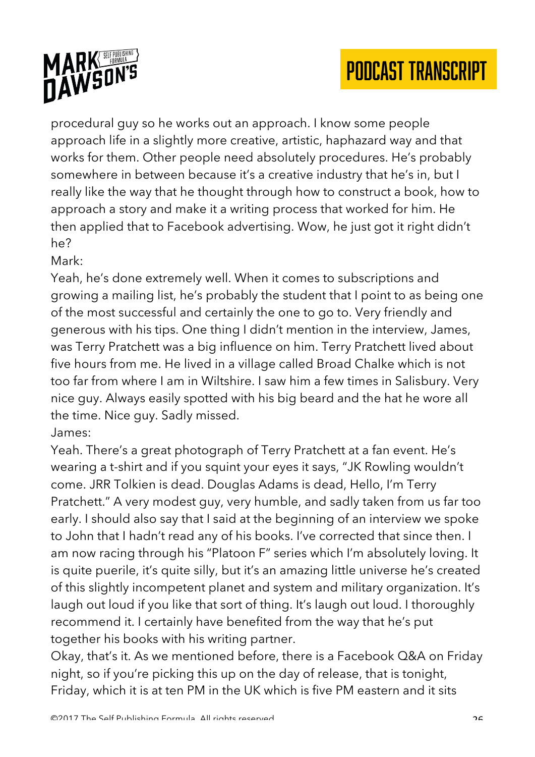

procedural guy so he works out an approach. I know some people approach life in a slightly more creative, artistic, haphazard way and that works for them. Other people need absolutely procedures. He's probably somewhere in between because it's a creative industry that he's in, but I really like the way that he thought through how to construct a book, how to approach a story and make it a writing process that worked for him. He then applied that to Facebook advertising. Wow, he just got it right didn't he?

Mark:

Yeah, he's done extremely well. When it comes to subscriptions and growing a mailing list, he's probably the student that I point to as being one of the most successful and certainly the one to go to. Very friendly and generous with his tips. One thing I didn't mention in the interview, James, was Terry Pratchett was a big influence on him. Terry Pratchett lived about five hours from me. He lived in a village called Broad Chalke which is not too far from where I am in Wiltshire. I saw him a few times in Salisbury. Very nice guy. Always easily spotted with his big beard and the hat he wore all the time. Nice guy. Sadly missed.

James:

Yeah. There's a great photograph of Terry Pratchett at a fan event. He's wearing a t-shirt and if you squint your eyes it says, "JK Rowling wouldn't come. JRR Tolkien is dead. Douglas Adams is dead, Hello, I'm Terry Pratchett." A very modest guy, very humble, and sadly taken from us far too early. I should also say that I said at the beginning of an interview we spoke to John that I hadn't read any of his books. I've corrected that since then. I am now racing through his "Platoon F" series which I'm absolutely loving. It is quite puerile, it's quite silly, but it's an amazing little universe he's created of this slightly incompetent planet and system and military organization. It's laugh out loud if you like that sort of thing. It's laugh out loud. I thoroughly recommend it. I certainly have benefited from the way that he's put together his books with his writing partner.

Okay, that's it. As we mentioned before, there is a Facebook Q&A on Friday night, so if you're picking this up on the day of release, that is tonight, Friday, which it is at ten PM in the UK which is five PM eastern and it sits